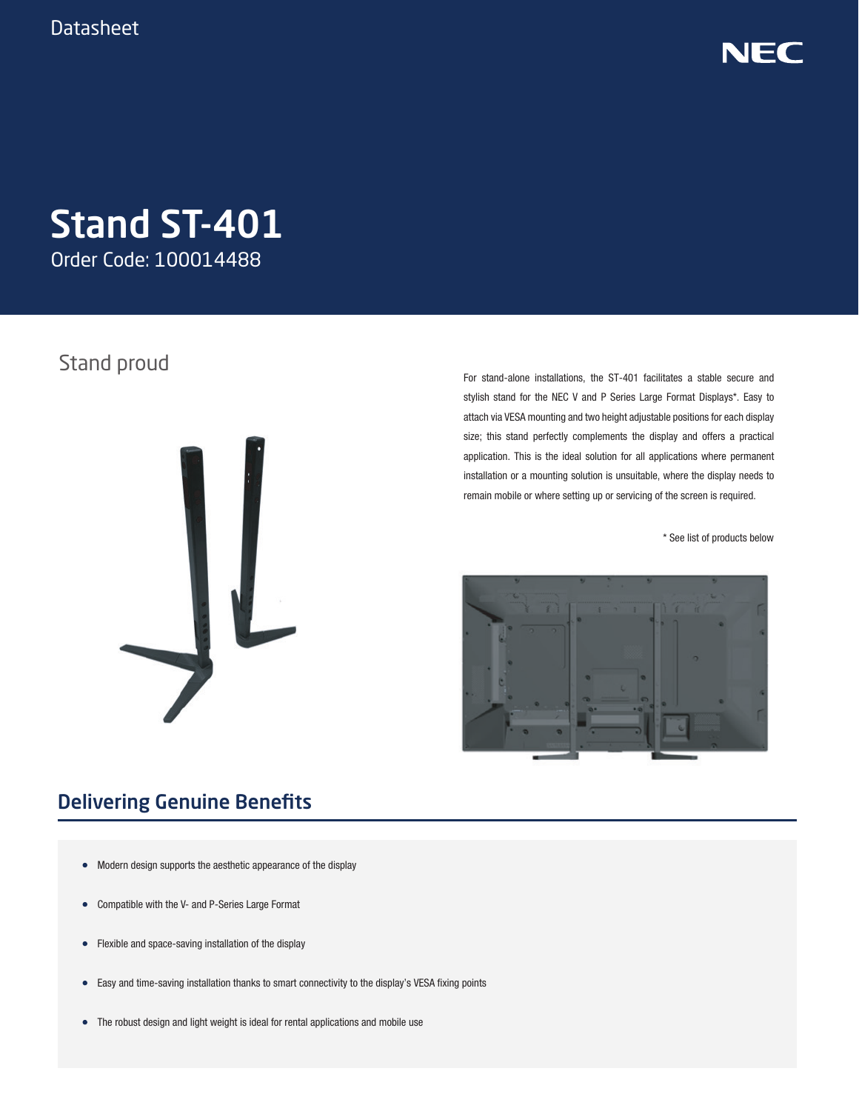

# Stand ST-401

Order Code: 100014488

### Stand proud



For stand-alone installations, the ST-401 facilitates a stable secure and stylish stand for the NEC V and P Series Large Format Displays\*. Easy to attach via VESA mounting and two height adjustable positions for each display size; this stand perfectly complements the display and offers a practical application. This is the ideal solution for all applications where permanent installation or a mounting solution is unsuitable, where the display needs to remain mobile or where setting up or servicing of the screen is required.

\* See list of products below



### Delivering Genuine Benefits

- Modern design supports the aesthetic appearance of the display
- Compatible with the V- and P-Series Large Format
- Flexible and space-saving installation of the display
- Easy and time-saving installation thanks to smart connectivity to the display's VESA fixing points
- The robust design and light weight is ideal for rental applications and mobile use